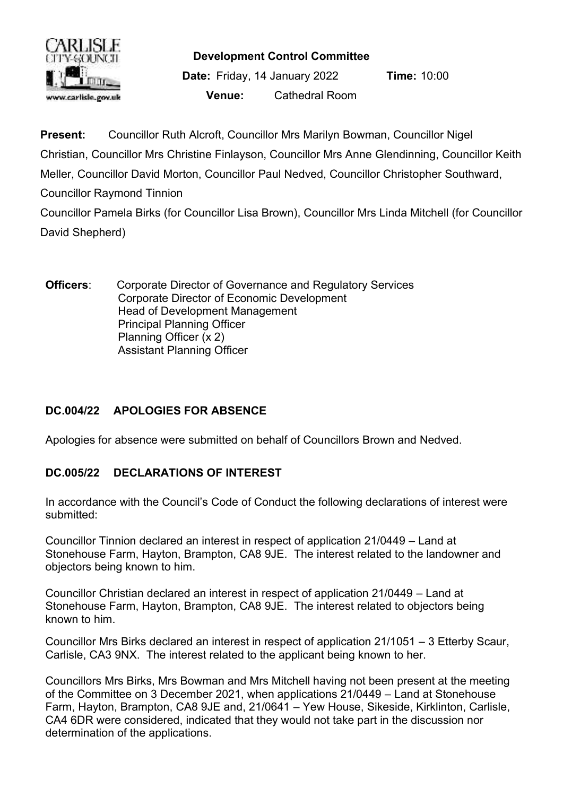

**Development Control Committee**

**Date:** Friday, 14 January 2022 **Time:** 10:00 **Venue:** Cathedral Room

**Present:** Councillor Ruth Alcroft, Councillor Mrs Marilyn Bowman, Councillor Nigel Christian, Councillor Mrs Christine Finlayson, Councillor Mrs Anne Glendinning, Councillor Keith Meller, Councillor David Morton, Councillor Paul Nedved, Councillor Christopher Southward, Councillor Raymond Tinnion Councillor Pamela Birks (for Councillor Lisa Brown), Councillor Mrs Linda Mitchell (for Councillor

David Shepherd)

**Officers:** Corporate Director of Governance and Regulatory Services Corporate Director of Economic Development Head of Development Management Principal Planning Officer Planning Officer (x 2) Assistant Planning Officer

# **DC.004/22 APOLOGIES FOR ABSENCE**

Apologies for absence were submitted on behalf of Councillors Brown and Nedved.

## **DC.005/22 DECLARATIONS OF INTEREST**

In accordance with the Council's Code of Conduct the following declarations of interest were submitted:

Councillor Tinnion declared an interest in respect of application 21/0449 – Land at Stonehouse Farm, Hayton, Brampton, CA8 9JE. The interest related to the landowner and objectors being known to him.

Councillor Christian declared an interest in respect of application 21/0449 – Land at Stonehouse Farm, Hayton, Brampton, CA8 9JE. The interest related to objectors being known to him.

Councillor Mrs Birks declared an interest in respect of application 21/1051 – 3 Etterby Scaur, Carlisle, CA3 9NX. The interest related to the applicant being known to her.

Councillors Mrs Birks, Mrs Bowman and Mrs Mitchell having not been present at the meeting of the Committee on 3 December 2021, when applications 21/0449 – Land at Stonehouse Farm, Hayton, Brampton, CA8 9JE and, 21/0641 – Yew House, Sikeside, Kirklinton, Carlisle, CA4 6DR were considered, indicated that they would not take part in the discussion nor determination of the applications.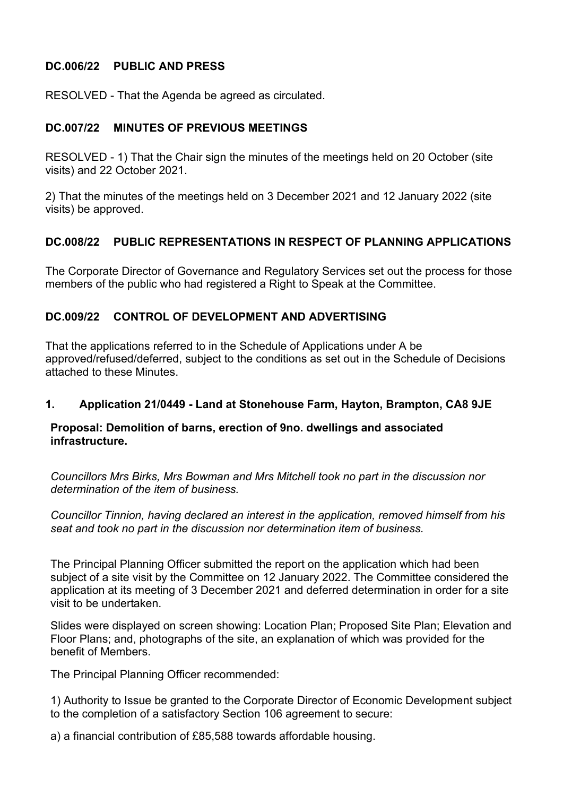## **DC.006/22 PUBLIC AND PRESS**

RESOLVED - That the Agenda be agreed as circulated.

#### **DC.007/22 MINUTES OF PREVIOUS MEETINGS**

RESOLVED - 1) That the Chair sign the minutes of the meetings held on 20 October (site visits) and 22 October 2021.

2) That the minutes of the meetings held on 3 December 2021 and 12 January 2022 (site visits) be approved.

## **DC.008/22 PUBLIC REPRESENTATIONS IN RESPECT OF PLANNING APPLICATIONS**

The Corporate Director of Governance and Regulatory Services set out the process for those members of the public who had registered a Right to Speak at the Committee.

#### **DC.009/22 CONTROL OF DEVELOPMENT AND ADVERTISING**

That the applications referred to in the Schedule of Applications under A be approved/refused/deferred, subject to the conditions as set out in the Schedule of Decisions attached to these Minutes.

#### **1. Application 21/0449 - Land at Stonehouse Farm, Hayton, Brampton, CA8 9JE**

#### **Proposal: Demolition of barns, erection of 9no. dwellings and associated infrastructure.**

*Councillors Mrs Birks, Mrs Bowman and Mrs Mitchell took no part in the discussion nor determination of the item of business.*

*Councillor Tinnion, having declared an interest in the application, removed himself from his seat and took no part in the discussion nor determination item of business.*

The Principal Planning Officer submitted the report on the application which had been subject of a site visit by the Committee on 12 January 2022. The Committee considered the application at its meeting of 3 December 2021 and deferred determination in order for a site visit to be undertaken.

Slides were displayed on screen showing: Location Plan; Proposed Site Plan; Elevation and Floor Plans; and, photographs of the site, an explanation of which was provided for the benefit of Members.

The Principal Planning Officer recommended:

1) Authority to Issue be granted to the Corporate Director of Economic Development subject to the completion of a satisfactory Section 106 agreement to secure:

a) a financial contribution of £85,588 towards affordable housing.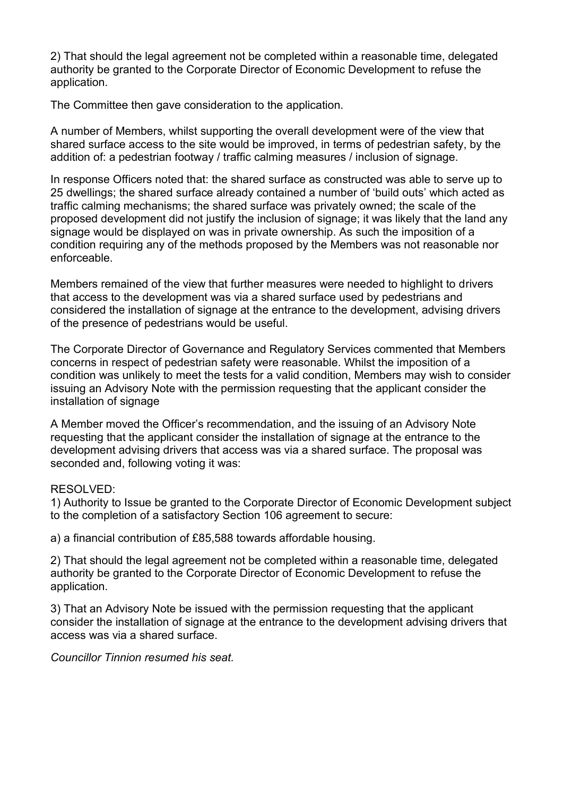2) That should the legal agreement not be completed within a reasonable time, delegated authority be granted to the Corporate Director of Economic Development to refuse the application.

The Committee then gave consideration to the application.

A number of Members, whilst supporting the overall development were of the view that shared surface access to the site would be improved, in terms of pedestrian safety, by the addition of: a pedestrian footway / traffic calming measures / inclusion of signage.

In response Officers noted that: the shared surface as constructed was able to serve up to 25 dwellings; the shared surface already contained a number of 'build outs' which acted as traffic calming mechanisms; the shared surface was privately owned; the scale of the proposed development did not justify the inclusion of signage; it was likely that the land any signage would be displayed on was in private ownership. As such the imposition of a condition requiring any of the methods proposed by the Members was not reasonable nor enforceable.

Members remained of the view that further measures were needed to highlight to drivers that access to the development was via a shared surface used by pedestrians and considered the installation of signage at the entrance to the development, advising drivers of the presence of pedestrians would be useful.

The Corporate Director of Governance and Regulatory Services commented that Members concerns in respect of pedestrian safety were reasonable. Whilst the imposition of a condition was unlikely to meet the tests for a valid condition, Members may wish to consider issuing an Advisory Note with the permission requesting that the applicant consider the installation of signage

A Member moved the Officer's recommendation, and the issuing of an Advisory Note requesting that the applicant consider the installation of signage at the entrance to the development advising drivers that access was via a shared surface. The proposal was seconded and, following voting it was:

#### RESOLVED:

1) Authority to Issue be granted to the Corporate Director of Economic Development subject to the completion of a satisfactory Section 106 agreement to secure:

a) a financial contribution of £85,588 towards affordable housing.

2) That should the legal agreement not be completed within a reasonable time, delegated authority be granted to the Corporate Director of Economic Development to refuse the application.

3) That an Advisory Note be issued with the permission requesting that the applicant consider the installation of signage at the entrance to the development advising drivers that access was via a shared surface.

*Councillor Tinnion resumed his seat.*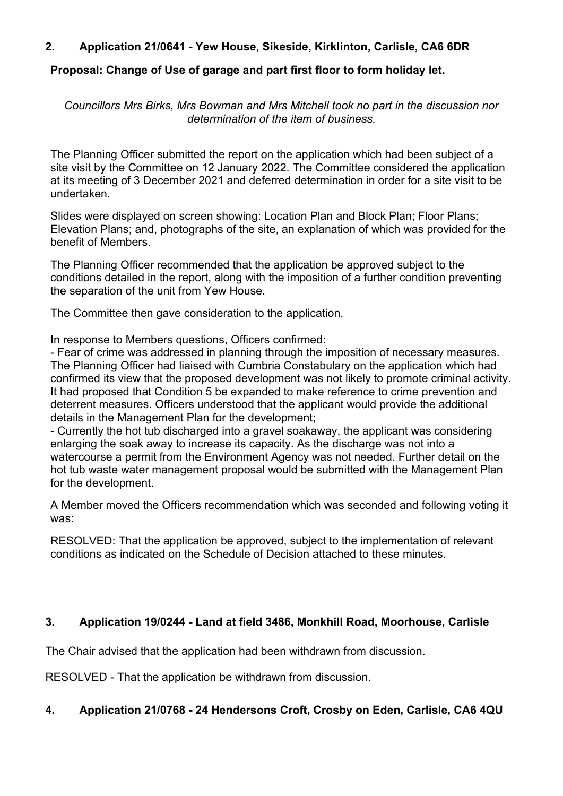## **2. Application 21/0641 - Yew House, Sikeside, Kirklinton, Carlisle, CA6 6DR**

# **Proposal: Change of Use of garage and part first floor to form holiday let.**

*Councillors Mrs Birks, Mrs Bowman and Mrs Mitchell took no part in the discussion nor determination of the item of business.*

The Planning Officer submitted the report on the application which had been subject of a site visit by the Committee on 12 January 2022. The Committee considered the application at its meeting of 3 December 2021 and deferred determination in order for a site visit to be undertaken.

Slides were displayed on screen showing: Location Plan and Block Plan; Floor Plans; Elevation Plans; and, photographs of the site, an explanation of which was provided for the benefit of Members.

The Planning Officer recommended that the application be approved subject to the conditions detailed in the report, along with the imposition of a further condition preventing the separation of the unit from Yew House.

The Committee then gave consideration to the application.

In response to Members questions, Officers confirmed:

- Fear of crime was addressed in planning through the imposition of necessary measures. The Planning Officer had liaised with Cumbria Constabulary on the application which had confirmed its view that the proposed development was not likely to promote criminal activity. It had proposed that Condition 5 be expanded to make reference to crime prevention and deterrent measures. Officers understood that the applicant would provide the additional details in the Management Plan for the development;

- Currently the hot tub discharged into a gravel soakaway, the applicant was considering enlarging the soak away to increase its capacity. As the discharge was not into a watercourse a permit from the Environment Agency was not needed. Further detail on the hot tub waste water management proposal would be submitted with the Management Plan for the development.

A Member moved the Officers recommendation which was seconded and following voting it was:

RESOLVED: That the application be approved, subject to the implementation of relevant conditions as indicated on the Schedule of Decision attached to these minutes.

# **3. Application 19/0244 - Land at field 3486, Monkhill Road, Moorhouse, Carlisle**

The Chair advised that the application had been withdrawn from discussion.

RESOLVED - That the application be withdrawn from discussion.

# **4. Application 21/0768 - 24 Hendersons Croft, Crosby on Eden, Carlisle, CA6 4QU**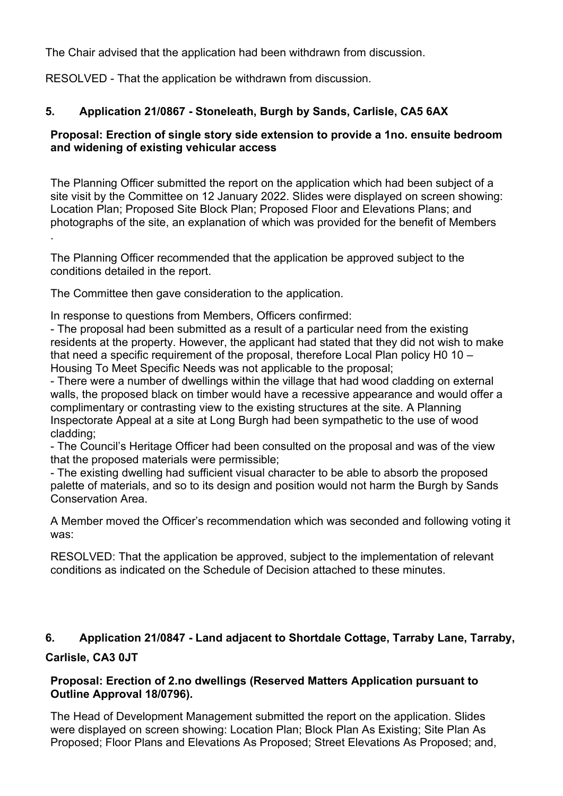The Chair advised that the application had been withdrawn from discussion.

RESOLVED - That the application be withdrawn from discussion.

# **5. Application 21/0867 - Stoneleath, Burgh by Sands, Carlisle, CA5 6AX**

## **Proposal: Erection of single story side extension to provide a 1no. ensuite bedroom and widening of existing vehicular access**

The Planning Officer submitted the report on the application which had been subject of a site visit by the Committee on 12 January 2022. Slides were displayed on screen showing: Location Plan; Proposed Site Block Plan; Proposed Floor and Elevations Plans; and photographs of the site, an explanation of which was provided for the benefit of Members .

The Planning Officer recommended that the application be approved subject to the conditions detailed in the report.

The Committee then gave consideration to the application.

In response to questions from Members, Officers confirmed:

- The proposal had been submitted as a result of a particular need from the existing residents at the property. However, the applicant had stated that they did not wish to make that need a specific requirement of the proposal, therefore Local Plan policy H0 10 – Housing To Meet Specific Needs was not applicable to the proposal;

- There were a number of dwellings within the village that had wood cladding on external walls, the proposed black on timber would have a recessive appearance and would offer a complimentary or contrasting view to the existing structures at the site. A Planning Inspectorate Appeal at a site at Long Burgh had been sympathetic to the use of wood cladding;

- The Council's Heritage Officer had been consulted on the proposal and was of the view that the proposed materials were permissible;

- The existing dwelling had sufficient visual character to be able to absorb the proposed palette of materials, and so to its design and position would not harm the Burgh by Sands Conservation Area.

A Member moved the Officer's recommendation which was seconded and following voting it was:

RESOLVED: That the application be approved, subject to the implementation of relevant conditions as indicated on the Schedule of Decision attached to these minutes.

# **6. Application 21/0847 - Land adjacent to Shortdale Cottage, Tarraby Lane, Tarraby,**

# **Carlisle, CA3 0JT**

## **Proposal: Erection of 2.no dwellings (Reserved Matters Application pursuant to Outline Approval 18/0796).**

The Head of Development Management submitted the report on the application. Slides were displayed on screen showing: Location Plan; Block Plan As Existing; Site Plan As Proposed; Floor Plans and Elevations As Proposed; Street Elevations As Proposed; and,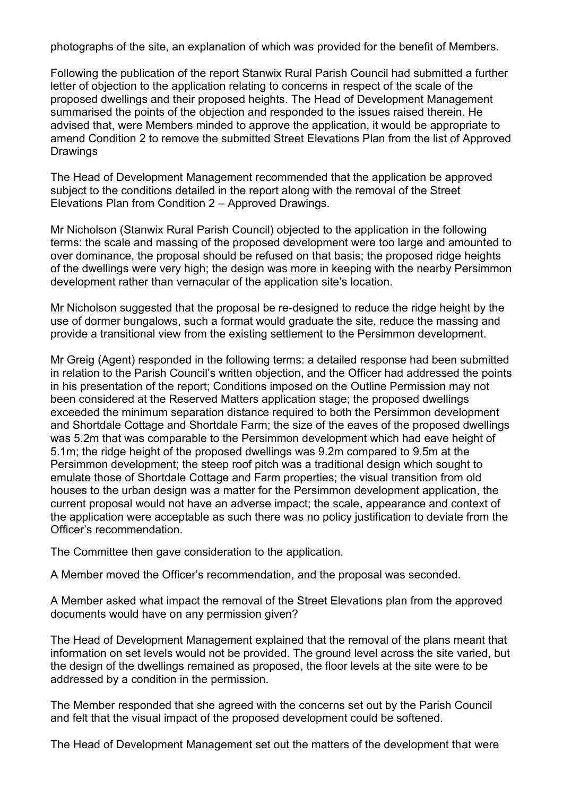photographs of the site, an explanation of which was provided for the benefit of Members.

Following the publication of the report Stanwix Rural Parish Council had submitted a further letter of objection to the application relating to concerns in respect of the scale of the proposed dwellings and their proposed heights. The Head of Development Management summarised the points of the objection and responded to the issues raised therein. He advised that, were Members minded to approve the application, it would be appropriate to amend Condition 2 to remove the submitted Street Elevations Plan from the list of Approved Drawings

The Head of Development Management recommended that the application be approved subject to the conditions detailed in the report along with the removal of the Street Elevations Plan from Condition 2 – Approved Drawings.

Mr Nicholson (Stanwix Rural Parish Council) objected to the application in the following terms: the scale and massing of the proposed development were too large and amounted to over dominance, the proposal should be refused on that basis; the proposed ridge heights of the dwellings were very high; the design was more in keeping with the nearby Persimmon development rather than vernacular of the application site's location.

Mr Nicholson suggested that the proposal be re-designed to reduce the ridge height by the use of dormer bungalows, such a format would graduate the site, reduce the massing and provide a transitional view from the existing settlement to the Persimmon development.

Mr Greig (Agent) responded in the following terms: a detailed response had been submitted in relation to the Parish Council's written objection, and the Officer had addressed the points in his presentation of the report; Conditions imposed on the Outline Permission may not been considered at the Reserved Matters application stage; the proposed dwellings exceeded the minimum separation distance required to both the Persimmon development and Shortdale Cottage and Shortdale Farm; the size of the eaves of the proposed dwellings was 5.2m that was comparable to the Persimmon development which had eave height of 5.1m; the ridge height of the proposed dwellings was 9.2m compared to 9.5m at the Persimmon development; the steep roof pitch was a traditional design which sought to emulate those of Shortdale Cottage and Farm properties; the visual transition from old houses to the urban design was a matter for the Persimmon development application, the current proposal would not have an adverse impact; the scale, appearance and context of the application were acceptable as such there was no policy justification to deviate from the Officer's recommendation.

The Committee then gave consideration to the application.

A Member moved the Officer's recommendation, and the proposal was seconded.

A Member asked what impact the removal of the Street Elevations plan from the approved documents would have on any permission given?

The Head of Development Management explained that the removal of the plans meant that information on set levels would not be provided. The ground level across the site varied, but the design of the dwellings remained as proposed, the floor levels at the site were to be addressed by a condition in the permission.

The Member responded that she agreed with the concerns set out by the Parish Council and felt that the visual impact of the proposed development could be softened.

The Head of Development Management set out the matters of the development that were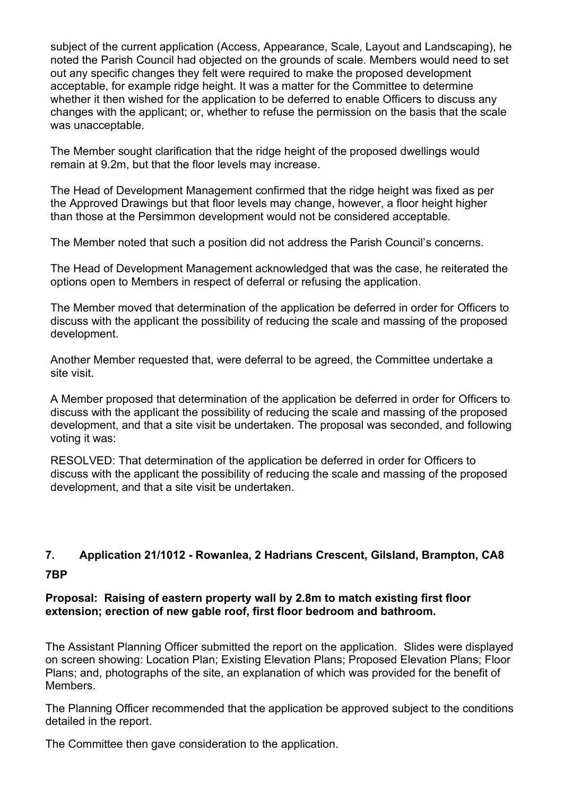subject of the current application (Access, Appearance, Scale, Layout and Landscaping), he noted the Parish Council had objected on the grounds of scale. Members would need to set out any specific changes they felt were required to make the proposed development acceptable, for example ridge height. It was a matter for the Committee to determine whether it then wished for the application to be deferred to enable Officers to discuss any changes with the applicant; or, whether to refuse the permission on the basis that the scale was unacceptable.

The Member sought clarification that the ridge height of the proposed dwellings would remain at 9.2m, but that the floor levels may increase.

The Head of Development Management confirmed that the ridge height was fixed as per the Approved Drawings but that floor levels may change, however, a floor height higher than those at the Persimmon development would not be considered acceptable.

The Member noted that such a position did not address the Parish Council's concerns.

The Head of Development Management acknowledged that was the case, he reiterated the options open to Members in respect of deferral or refusing the application.

The Member moved that determination of the application be deferred in order for Officers to discuss with the applicant the possibility of reducing the scale and massing of the proposed development.

Another Member requested that, were deferral to be agreed, the Committee undertake a site visit.

A Member proposed that determination of the application be deferred in order for Officers to discuss with the applicant the possibility of reducing the scale and massing of the proposed development, and that a site visit be undertaken. The proposal was seconded, and following voting it was:

RESOLVED: That determination of the application be deferred in order for Officers to discuss with the applicant the possibility of reducing the scale and massing of the proposed development, and that a site visit be undertaken.

# **7. Application 21/1012 - Rowanlea, 2 Hadrians Crescent, Gilsland, Brampton, CA8 7BP**

#### **Proposal: Raising of eastern property wall by 2.8m to match existing first floor extension; erection of new gable roof, first floor bedroom and bathroom.**

The Assistant Planning Officer submitted the report on the application. Slides were displayed on screen showing: Location Plan; Existing Elevation Plans; Proposed Elevation Plans; Floor Plans; and, photographs of the site, an explanation of which was provided for the benefit of Members.

The Planning Officer recommended that the application be approved subject to the conditions detailed in the report.

The Committee then gave consideration to the application.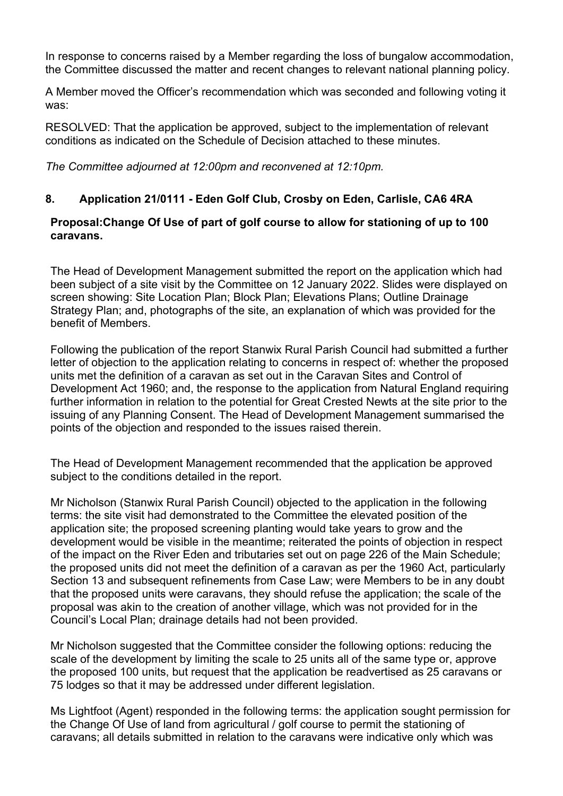In response to concerns raised by a Member regarding the loss of bungalow accommodation, the Committee discussed the matter and recent changes to relevant national planning policy.

A Member moved the Officer's recommendation which was seconded and following voting it was:

RESOLVED: That the application be approved, subject to the implementation of relevant conditions as indicated on the Schedule of Decision attached to these minutes.

*The Committee adjourned at 12:00pm and reconvened at 12:10pm.* 

## **8. Application 21/0111 - Eden Golf Club, Crosby on Eden, Carlisle, CA6 4RA**

#### **Proposal:Change Of Use of part of golf course to allow for stationing of up to 100 caravans.**

The Head of Development Management submitted the report on the application which had been subject of a site visit by the Committee on 12 January 2022. Slides were displayed on screen showing: Site Location Plan; Block Plan; Elevations Plans; Outline Drainage Strategy Plan; and, photographs of the site, an explanation of which was provided for the benefit of Members.

Following the publication of the report Stanwix Rural Parish Council had submitted a further letter of objection to the application relating to concerns in respect of: whether the proposed units met the definition of a caravan as set out in the Caravan Sites and Control of Development Act 1960; and, the response to the application from Natural England requiring further information in relation to the potential for Great Crested Newts at the site prior to the issuing of any Planning Consent. The Head of Development Management summarised the points of the objection and responded to the issues raised therein.

The Head of Development Management recommended that the application be approved subject to the conditions detailed in the report.

Mr Nicholson (Stanwix Rural Parish Council) objected to the application in the following terms: the site visit had demonstrated to the Committee the elevated position of the application site; the proposed screening planting would take years to grow and the development would be visible in the meantime; reiterated the points of objection in respect of the impact on the River Eden and tributaries set out on page 226 of the Main Schedule; the proposed units did not meet the definition of a caravan as per the 1960 Act, particularly Section 13 and subsequent refinements from Case Law; were Members to be in any doubt that the proposed units were caravans, they should refuse the application; the scale of the proposal was akin to the creation of another village, which was not provided for in the Council's Local Plan; drainage details had not been provided.

Mr Nicholson suggested that the Committee consider the following options: reducing the scale of the development by limiting the scale to 25 units all of the same type or, approve the proposed 100 units, but request that the application be readvertised as 25 caravans or 75 lodges so that it may be addressed under different legislation.

Ms Lightfoot (Agent) responded in the following terms: the application sought permission for the Change Of Use of land from agricultural / golf course to permit the stationing of caravans; all details submitted in relation to the caravans were indicative only which was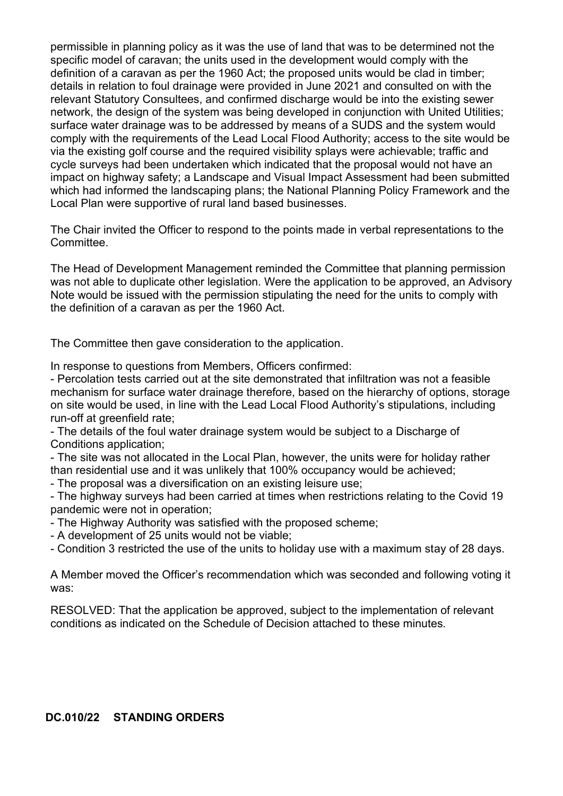permissible in planning policy as it was the use of land that was to be determined not the specific model of caravan; the units used in the development would comply with the definition of a caravan as per the 1960 Act; the proposed units would be clad in timber; details in relation to foul drainage were provided in June 2021 and consulted on with the relevant Statutory Consultees, and confirmed discharge would be into the existing sewer network, the design of the system was being developed in conjunction with United Utilities; surface water drainage was to be addressed by means of a SUDS and the system would comply with the requirements of the Lead Local Flood Authority; access to the site would be via the existing golf course and the required visibility splays were achievable; traffic and cycle surveys had been undertaken which indicated that the proposal would not have an impact on highway safety; a Landscape and Visual Impact Assessment had been submitted which had informed the landscaping plans; the National Planning Policy Framework and the Local Plan were supportive of rural land based businesses.

The Chair invited the Officer to respond to the points made in verbal representations to the Committee.

The Head of Development Management reminded the Committee that planning permission was not able to duplicate other legislation. Were the application to be approved, an Advisory Note would be issued with the permission stipulating the need for the units to comply with the definition of a caravan as per the 1960 Act.

The Committee then gave consideration to the application.

In response to questions from Members, Officers confirmed:

- Percolation tests carried out at the site demonstrated that infiltration was not a feasible mechanism for surface water drainage therefore, based on the hierarchy of options, storage on site would be used, in line with the Lead Local Flood Authority's stipulations, including run-off at greenfield rate;

- The details of the foul water drainage system would be subject to a Discharge of Conditions application;

- The site was not allocated in the Local Plan, however, the units were for holiday rather than residential use and it was unlikely that 100% occupancy would be achieved;

- The proposal was a diversification on an existing leisure use;

- The highway surveys had been carried at times when restrictions relating to the Covid 19 pandemic were not in operation;

- The Highway Authority was satisfied with the proposed scheme;
- A development of 25 units would not be viable;
- Condition 3 restricted the use of the units to holiday use with a maximum stay of 28 days.

A Member moved the Officer's recommendation which was seconded and following voting it was:

RESOLVED: That the application be approved, subject to the implementation of relevant conditions as indicated on the Schedule of Decision attached to these minutes.

#### **DC.010/22 STANDING ORDERS**